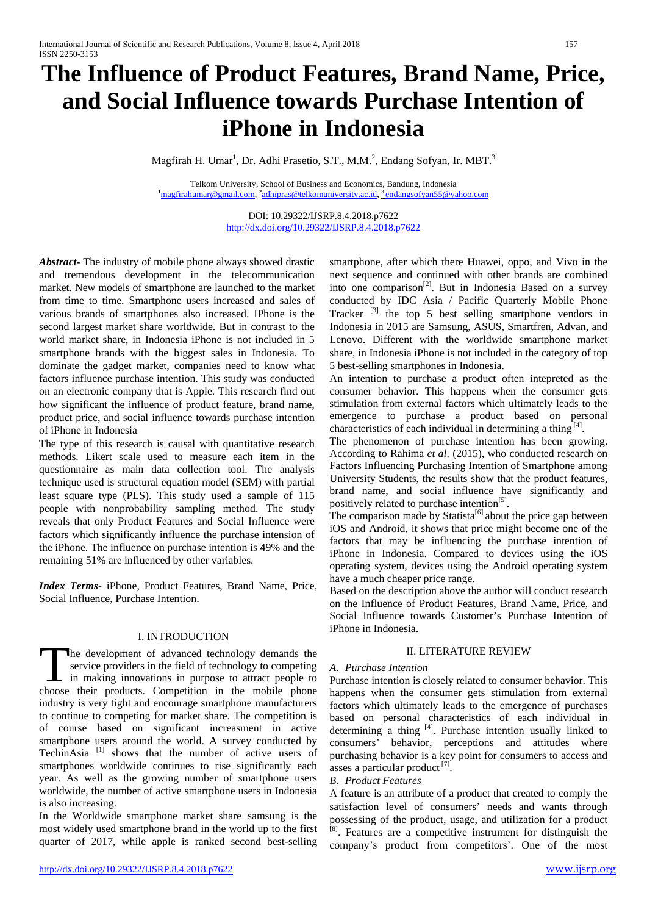# **The Influence of Product Features, Brand Name, Price, and Social Influence towards Purchase Intention of iPhone in Indonesia**

Magfirah H. Umar<sup>1</sup>, Dr. Adhi Prasetio, S.T., M.M.<sup>2</sup>, Endang Sofyan, Ir. MBT.<sup>3</sup>

Telkom University, School of Business and Economics, Bandung, Indonesia **1** magfirahumar@gmail.com, **<sup>2</sup>** [adhipras@telkomuniversity.ac.id,](mailto:adhipras@telkomuniversity.ac.id) [3 endangsofyan55@yahoo.com](mailto:3%20endangsofyan55@yahoo.com)

> DOI: 10.29322/IJSRP.8.4.2018.p7622 <http://dx.doi.org/10.29322/IJSRP.8.4.2018.p7622>

*Abstract***-** The industry of mobile phone always showed drastic and tremendous development in the telecommunication market. New models of smartphone are launched to the market from time to time. Smartphone users increased and sales of various brands of smartphones also increased. IPhone is the second largest market share worldwide. But in contrast to the world market share, in Indonesia iPhone is not included in 5 smartphone brands with the biggest sales in Indonesia. To dominate the gadget market, companies need to know what factors influence purchase intention. This study was conducted on an electronic company that is Apple. This research find out how significant the influence of product feature, brand name, product price, and social influence towards purchase intention of iPhone in Indonesia

The type of this research is causal with quantitative research methods. Likert scale used to measure each item in the questionnaire as main data collection tool. The analysis technique used is structural equation model (SEM) with partial least square type (PLS). This study used a sample of 115 people with nonprobability sampling method. The study reveals that only Product Features and Social Influence were factors which significantly influence the purchase intension of the iPhone. The influence on purchase intention is 49% and the remaining 51% are influenced by other variables.

*Index Terms*- iPhone, Product Features, Brand Name, Price, Social Influence, Purchase Intention.

# I. INTRODUCTION

he development of advanced technology demands the service providers in the field of technology to competing in making innovations in purpose to attract people to The development of advanced technology demands the service providers in the field of technology to competing in making innovations in purpose to attract people to choose their products. Competition in the mobile phone industry is very tight and encourage smartphone manufacturers to continue to competing for market share. The competition is of course based on significant increasment in active smartphone users around the world. A survey conducted by TechinAsia [1] shows that the number of active users of smartphones worldwide continues to rise significantly each year. As well as the growing number of smartphone users worldwide, the number of active smartphone users in Indonesia is also increasing.

In the Worldwide smartphone market share samsung is the most widely used smartphone brand in the world up to the first quarter of 2017, while apple is ranked second best-selling

smartphone, after which there Huawei, oppo, and Vivo in the next sequence and continued with other brands are combined into one comparison<sup>[2]</sup>. But in Indonesia Based on a survey conducted by IDC Asia / Pacific Quarterly Mobile Phone Tracker<sup>[3]</sup> the top 5 best selling smartphone vendors in Indonesia in 2015 are Samsung, ASUS, Smartfren, Advan, and Lenovo. Different with the worldwide smartphone market share, in Indonesia iPhone is not included in the category of top 5 best-selling smartphones in Indonesia.

An intention to purchase a product often intepreted as the consumer behavior. This happens when the consumer gets stimulation from external factors which ultimately leads to the emergence to purchase a product based on personal characteristics of each individual in determining a thing  $[4]$ .

The phenomenon of purchase intention has been growing. According to Rahima *et al*. (2015), who conducted research on Factors Influencing Purchasing Intention of Smartphone among University Students, the results show that the product features, brand name, and social influence have significantly and positively related to purchase intention<sup>[5]</sup>.

The comparison made by Statista<sup>[6]</sup> about the price gap between iOS and Android, it shows that price might become one of the factors that may be influencing the purchase intention of iPhone in Indonesia. Compared to devices using the iOS operating system, devices using the Android operating system have a much cheaper price range.

Based on the description above the author will conduct research on the Influence of Product Features, Brand Name, Price, and Social Influence towards Customer's Purchase Intention of iPhone in Indonesia.

## II. LITERATURE REVIEW

## *A. Purchase Intention*

Purchase intention is closely related to consumer behavior. This happens when the consumer gets stimulation from external factors which ultimately leads to the emergence of purchases based on personal characteristics of each individual in determining a thing  $[4]$ . Purchase intention usually linked to consumers' behavior, perceptions and attitudes where purchasing behavior is a key point for consumers to access and asses a particular product  $[7]$ .

## *B. Product Features*

A feature is an attribute of a product that created to comply the satisfaction level of consumers' needs and wants through possessing of the product, usage, and utilization for a product <sup>[8]</sup>. Features are a competitive instrument for distinguish the company's product from competitors'. One of the most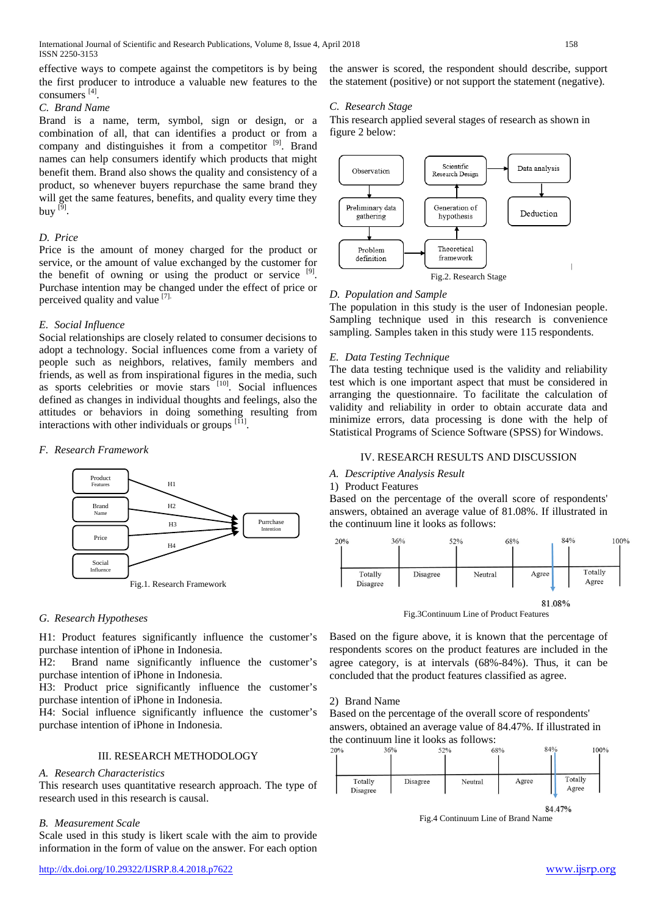effective ways to compete against the competitors is by being the first producer to introduce a valuable new features to the consumers [4] .

## *C. Brand Name*

Brand is a name, term, symbol, sign or design, or a combination of all, that can identifies a product or from a company and distinguishes it from a competitor <sup>[9]</sup>. Brand names can help consumers identify which products that might benefit them. Brand also shows the quality and consistency of a product, so whenever buyers repurchase the same brand they will get the same features, benefits, and quality every time they buy  $^{[9]}$ .

## *D. Price*

Price is the amount of money charged for the product or service, or the amount of value exchanged by the customer for the benefit of owning or using the product or service  $[9]$ . Purchase intention may be changed under the effect of price or perceived quality and value [7].

# *E. Social Influence*

Social relationships are closely related to consumer decisions to adopt a technology. Social influences come from a variety of people such as neighbors, relatives, family members and friends, as well as from inspirational figures in the media, such as sports celebrities or movie stars [10]. Social influences defined as changes in individual thoughts and feelings, also the attitudes or behaviors in doing something resulting from interactions with other individuals or groups  $[<sup>[11]</sup>]$ .

## *F. Research Framework*



# *G. Research Hypotheses*

H1: Product features significantly influence the customer's purchase intention of iPhone in Indonesia.

H2: Brand name significantly influence the customer's purchase intention of iPhone in Indonesia.

H3: Product price significantly influence the customer's purchase intention of iPhone in Indonesia.

H4: Social influence significantly influence the customer's purchase intention of iPhone in Indonesia.

# III. RESEARCH METHODOLOGY

## *A. Research Characteristics*

This research uses quantitative research approach. The type of research used in this research is causal.

## *B. Measurement Scale*

Scale used in this study is likert scale with the aim to provide information in the form of value on the answer. For each option

the answer is scored, the respondent should describe, support the statement (positive) or not support the statement (negative).

# *C. Research Stage*

This research applied several stages of research as shown in figure 2 below:



## *D. Population and Sample*

The population in this study is the user of Indonesian people. Sampling technique used in this research is convenience sampling. Samples taken in this study were 115 respondents.

## *E. Data Testing Technique*

The data testing technique used is the validity and reliability test which is one important aspect that must be considered in arranging the questionnaire. To facilitate the calculation of validity and reliability in order to obtain accurate data and minimize errors, data processing is done with the help of Statistical Programs of Science Software (SPSS) for Windows.

## IV. RESEARCH RESULTS AND DISCUSSION

## *A. Descriptive Analysis Result*

1) Product Features

Based on the percentage of the overall score of respondents' answers, obtained an average value of 81.08%. If illustrated in the continuum line it looks as follows:



Fig.3Continuum Line of Product Features

Based on the figure above, it is known that the percentage of respondents scores on the product features are included in the agree category, is at intervals (68%-84%). Thus, it can be concluded that the product features classified as agree.

## 2) Brand Name

Based on the percentage of the overall score of respondents' answers, obtained an average value of 84.47%. If illustrated in the continuum line it looks as follows:<br> $\frac{36\%}{20\%}$ 

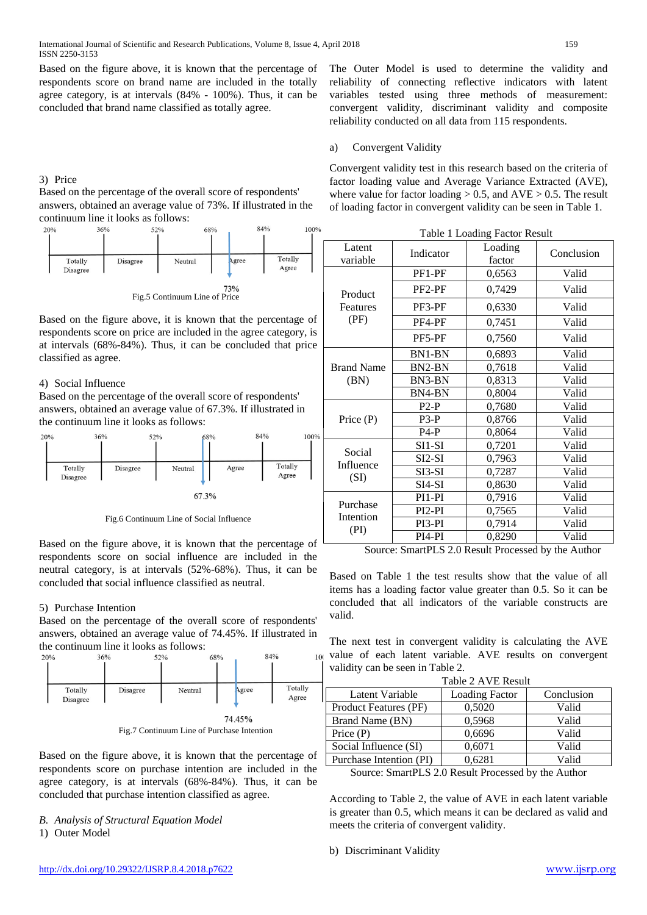Based on the figure above, it is known that the percentage of respondents score on brand name are included in the totally agree category, is at intervals (84% - 100%). Thus, it can be concluded that brand name classified as totally agree.

## 3) Price

Based on the percentage of the overall score of respondents' answers, obtained an average value of 73%. If illustrated in the continuum line it looks as follows:<br> $\frac{36\%}{20\%}$ 



Fig.5 Continuum Line of Price

Based on the figure above, it is known that the percentage of respondents score on price are included in the agree category, is at intervals (68%-84%). Thus, it can be concluded that price classified as agree.

# 4) Social Influence

Based on the percentage of the overall score of respondents' answers, obtained an average value of 67.3%. If illustrated in the continuum line it looks as follows:



Fig.6 Continuum Line of Social Influence

Based on the figure above, it is known that the percentage of respondents score on social influence are included in the neutral category, is at intervals (52%-68%). Thus, it can be concluded that social influence classified as neutral.

## 5) Purchase Intention

Based on the percentage of the overall score of respondents' answers, obtained an average value of 74.45%. If illustrated in the continuum line it looks as follows:



Fig.7 Continuum Line of Purchase Intention

Based on the figure above, it is known that the percentage of respondents score on purchase intention are included in the agree category, is at intervals (68%-84%). Thus, it can be concluded that purchase intention classified as agree.

*B. Analysis of Structural Equation Model* 

1) Outer Model

The Outer Model is used to determine the validity and reliability of connecting reflective indicators with latent variables tested using three methods of measurement: convergent validity, discriminant validity and composite reliability conducted on all data from 115 respondents.

## a) Convergent Validity

Convergent validity test in this research based on the criteria of factor loading value and Average Variance Extracted (AVE), where value for factor loading  $> 0.5$ , and AVE  $> 0.5$ . The result of loading factor in convergent validity can be seen in Table 1.

| Table 1 Loading Factor Result |                     |                   |            |  |
|-------------------------------|---------------------|-------------------|------------|--|
| Latent<br>variable            | Indicator           | Loading<br>factor | Conclusion |  |
|                               | PF1-PF              | 0,6563            | Valid      |  |
| Product                       | PF <sub>2</sub> -PF | 0,7429            | Valid      |  |
| Features                      | PF3-PF              | 0,6330            | Valid      |  |
| (PF)                          | PF4-PF              | 0,7451            | Valid      |  |
|                               | PF5-PF              | 0,7560            | Valid      |  |
|                               | BN1-BN              | 0,6893            | Valid      |  |
| <b>Brand Name</b>             | BN2-BN              | 0,7618            | Valid      |  |
| (BN)                          | BN3-BN              | 0,8313            | Valid      |  |
|                               | BN4-BN              | 0,8004            | Valid      |  |
|                               | $P2-P$              | 0,7680            | Valid      |  |
| Price $(P)$                   | $P3-P$              | 0,8766            | Valid      |  |
|                               | $P4-P$              | 0,8064            | Valid      |  |
|                               | $SI1-SI$            | 0,7201            | Valid      |  |
| Social                        | SI2-SI              | 0,7963            | Valid      |  |
| Influence                     | SI3-SI              | 0,7287            | Valid      |  |
| (SI)                          | SI4-SI              | 0,8630            | Valid      |  |
|                               | PI1-PI              | 0,7916            | Valid      |  |
| Purchase                      | $PI2-PI$            | 0,7565            | Valid      |  |
| Intention                     | PI3-PI              | 0,7914            | Valid      |  |
| (PI)                          | PI4-PI              | 0,8290            | Valid      |  |

Source: SmartPLS 2.0 Result Processed by the Author

Based on Table 1 the test results show that the value of all items has a loading factor value greater than 0.5. So it can be concluded that all indicators of the variable constructs are valid.

The next test in convergent validity is calculating the AVE value of each latent variable. AVE results on convergent validity can be seen in Table 2.

| Table 2 AVE Result |
|--------------------|
|--------------------|

| Latent Variable         | <b>Loading Factor</b> | Conclusion |
|-------------------------|-----------------------|------------|
| Product Features (PF)   | 0.5020                | Valid      |
| Brand Name (BN)         | 0,5968                | Valid      |
| Price $(P)$             | 0,6696                | Valid      |
| Social Influence (SI)   | 0,6071                | Valid      |
| Purchase Intention (PI) | 0.6281                | Valid      |

Source: SmartPLS 2.0 Result Processed by the Author

According to Table 2, the value of AVE in each latent variable is greater than 0.5, which means it can be declared as valid and meets the criteria of convergent validity.

b) Discriminant Validity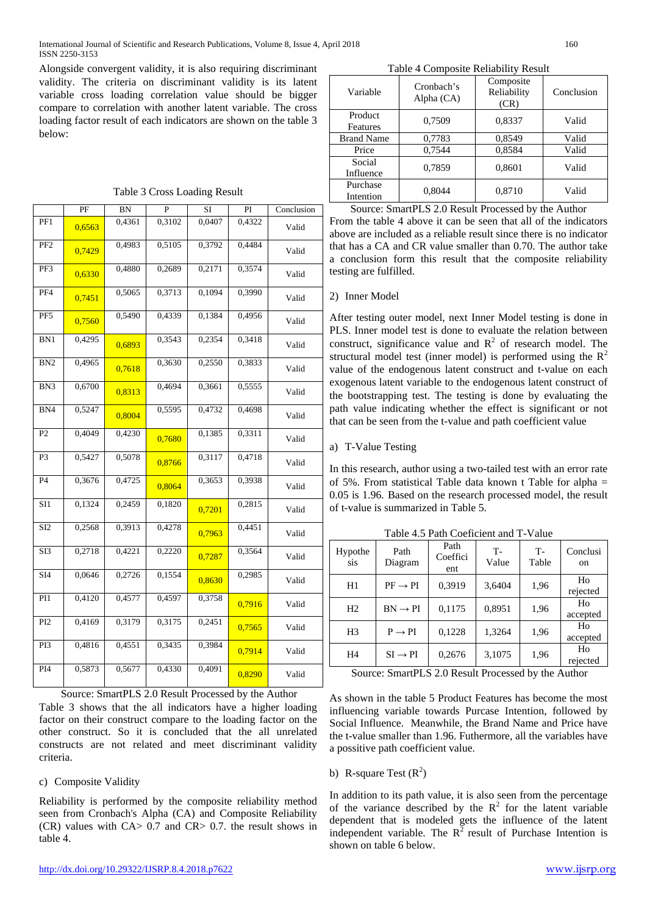International Journal of Scientific and Research Publications, Volume 8, Issue 4, April 2018 160 ISSN 2250-3153

Alongside convergent validity, it is also requiring discriminant validity. The criteria on discriminant validity is its latent variable cross loading correlation value should be bigger compare to correlation with another latent variable. The cross loading factor result of each indicators are shown on the table 3 below:

| Table 3 Cross Loading Result |  |  |  |
|------------------------------|--|--|--|
|------------------------------|--|--|--|

|                  | $\rm PF$ | <b>BN</b> | P      | <b>SI</b> | PI     | Conclusion |
|------------------|----------|-----------|--------|-----------|--------|------------|
| PF1              | 0,6563   | 0,4361    | 0,3102 | 0,0407    | 0,4322 | Valid      |
| PF <sub>2</sub>  | 0,7429   | 0,4983    | 0,5105 | 0,3792    | 0,4484 | Valid      |
| PF3              | 0,6330   | 0,4880    | 0,2689 | 0,2171    | 0,3574 | Valid      |
| PF4              | 0,7451   | 0,5065    | 0,3713 | 0,1094    | 0,3990 | Valid      |
| PF5              | 0,7560   | 0,5490    | 0,4339 | 0,1384    | 0,4956 | Valid      |
| BN1              | 0,4295   | 0,6893    | 0,3543 | 0,2354    | 0,3418 | Valid      |
| BN <sub>2</sub>  | 0,4965   | 0,7618    | 0,3630 | 0,2550    | 0,3833 | Valid      |
| BN <sub>3</sub>  | 0,6700   | 0,8313    | 0,4694 | 0,3661    | 0,5555 | Valid      |
| BN4              | 0,5247   | 0,8004    | 0,5595 | 0,4732    | 0,4698 | Valid      |
| P <sub>2</sub>   | 0,4049   | 0,4230    | 0,7680 | 0,1385    | 0,3311 | Valid      |
| P <sub>3</sub>   | 0,5427   | 0,5078    | 0,8766 | 0,3117    | 0,4718 | Valid      |
| P4               | 0,3676   | 0,4725    | 0,8064 | 0,3653    | 0,3938 | Valid      |
| SI1              | 0,1324   | 0,2459    | 0,1820 | 0,7201    | 0,2815 | Valid      |
| SI <sub>2</sub>  | 0,2568   | 0,3913    | 0,4278 | 0,7963    | 0,4451 | Valid      |
| SI3              | 0,2718   | 0,4221    | 0,2220 | 0,7287    | 0,3564 | Valid      |
| $\overline{SI4}$ | 0,0646   | 0,2726    | 0,1554 | 0,8630    | 0,2985 | Valid      |
| PI1              | 0,4120   | 0,4577    | 0,4597 | 0,3758    | 0,7916 | Valid      |
| PI <sub>2</sub>  | 0,4169   | 0,3179    | 0,3175 | 0,2451    | 0,7565 | Valid      |
| PI3              | 0,4816   | 0,4551    | 0,3435 | 0,3984    | 0,7914 | Valid      |
| PI <sub>4</sub>  | 0,5873   | 0,5677    | 0,4330 | 0,4091    | 0,8290 | Valid      |

Source: SmartPLS 2.0 Result Processed by the Author

Table 3 shows that the all indicators have a higher loading factor on their construct compare to the loading factor on the other construct. So it is concluded that the all unrelated constructs are not related and meet discriminant validity criteria.

## c) Composite Validity

Reliability is performed by the composite reliability method seen from Cronbach's Alpha (CA) and Composite Reliability (CR) values with CA> 0.7 and CR> 0.7. the result shows in table 4.

| Variable              | Cronbach's<br>Alpha (CA) | Composite<br>Reliability<br>(CR) | Conclusion |  |
|-----------------------|--------------------------|----------------------------------|------------|--|
| Product<br>Features   | 0,7509                   | 0,8337                           | Valid      |  |
| <b>Brand Name</b>     | 0,7783                   | 0.8549                           | Valid      |  |
| Price                 | 0,7544                   | 0,8584                           | Valid      |  |
| Social<br>Influence   | 0,7859                   | 0,8601                           | Valid      |  |
| Purchase<br>Intention | 0,8044                   | 0,8710                           | Valid      |  |

Source: SmartPLS 2.0 Result Processed by the Author From the table 4 above it can be seen that all of the indicators above are included as a reliable result since there is no indicator that has a CA and CR value smaller than 0.70. The author take a conclusion form this result that the composite reliability testing are fulfilled.

## 2) Inner Model

After testing outer model, next Inner Model testing is done in PLS. Inner model test is done to evaluate the relation between construct, significance value and  $R^2$  of research model. The structural model test (inner model) is performed using the  $R^2$ value of the endogenous latent construct and t-value on each exogenous latent variable to the endogenous latent construct of the bootstrapping test. The testing is done by evaluating the path value indicating whether the effect is significant or not that can be seen from the t-value and path coefficient value

#### a) T-Value Testing

In this research, author using a two-tailed test with an error rate of 5%. From statistical Table data known t Table for alpha = 0.05 is 1.96. Based on the research processed model, the result of t-value is summarized in Table 5.

| Hypothe<br>sis | Path<br>Diagram     | Path<br>Coeffici<br>ent | T-<br>Value | $T-$<br>Table | Conclusi<br>on |
|----------------|---------------------|-------------------------|-------------|---------------|----------------|
| H1             | $PF \rightarrow PI$ | 0,3919                  | 3,6404      | 1,96          | Ho<br>rejected |
| H <sub>2</sub> | $BN \rightarrow PI$ | 0,1175                  | 0,8951      | 1,96          | Ho<br>accepted |
| H <sub>3</sub> | $P \rightarrow PI$  | 0.1228                  | 1,3264      | 1,96          | Ho<br>accepted |
| H4             | $SI \rightarrow PI$ | 0,2676                  | 3,1075      | 1,96          | Ho<br>rejected |
|                |                     |                         |             |               |                |

Table 4.5 Path Coeficient and T-Value

Source: SmartPLS 2.0 Result Processed by the Author

As shown in the table 5 Product Features has become the most influencing variable towards Purcase Intention, followed by Social Influence. Meanwhile, the Brand Name and Price have the t-value smaller than 1.96. Futhermore, all the variables have a possitive path coefficient value.

# b) R-square Test  $(R^2)$

In addition to its path value, it is also seen from the percentage of the variance described by the  $R^2$  for the latent variable dependent that is modeled gets the influence of the latent independent variable. The  $R^2$  result of Purchase Intention is shown on table 6 below.